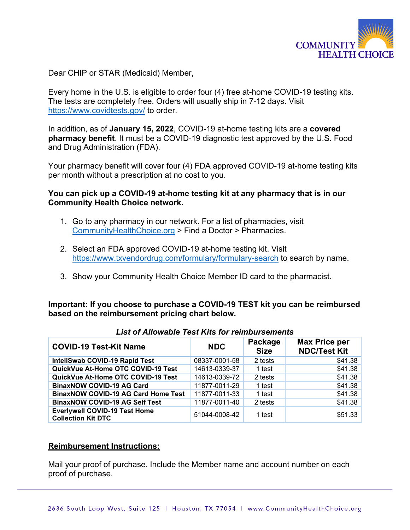

Dear CHIP or STAR (Medicaid) Member,

Every home in the U.S. is eligible to order four (4) free at-home COVID-19 testing kits. The tests are completely free. Orders will usually ship in 7-12 days. Visit https://www.covidtests.gov/ to order.

In addition, as of **January 15, 2022**, COVID-19 at-home testing kits are a **covered pharmacy benefit**. It must be a COVID-19 diagnostic test approved by the U.S. Food and Drug Administration (FDA).

Your pharmacy benefit will cover four (4) FDA approved COVID-19 at-home testing kits per month without a prescription at no cost to you.

## **You can pick up a COVID-19 at-home testing kit at any pharmacy that is in our Community Health Choice network.**

- 1. Go to any pharmacy in our network. For a list of pharmacies, visit CommunityHealthChoice.org > Find a Doctor > Pharmacies.
- 2. Select an FDA approved COVID-19 at-home testing kit. Visit https://www.txvendordrug.com/formulary/formulary-search to search by name.
- 3. Show your Community Health Choice Member ID card to the pharmacist.

**Important: If you choose to purchase a COVID-19 TEST kit you can be reimbursed based on the reimbursement pricing chart below.** 

| <b>COVID-19 Test-Kit Name</b>                                     | <b>NDC</b>    | Package<br><b>Size</b> | <b>Max Price per</b><br><b>NDC/Test Kit</b> |
|-------------------------------------------------------------------|---------------|------------------------|---------------------------------------------|
| InteliSwab COVID-19 Rapid Test                                    | 08337-0001-58 | 2 tests                | \$41.38                                     |
| QuickVue At-Home OTC COVID-19 Test                                | 14613-0339-37 | 1 test                 | \$41.38                                     |
| QuickVue At-Home OTC COVID-19 Test                                | 14613-0339-72 | 2 tests                | \$41.38                                     |
| <b>BinaxNOW COVID-19 AG Card</b>                                  | 11877-0011-29 | 1 test                 | \$41.38                                     |
| <b>BinaxNOW COVID-19 AG Card Home Test</b>                        | 11877-0011-33 | 1 test                 | \$41.38                                     |
| <b>BinaxNOW COVID-19 AG Self Test</b>                             | 11877-0011-40 | 2 tests                | \$41.38                                     |
| <b>Everlywell COVID-19 Test Home</b><br><b>Collection Kit DTC</b> | 51044-0008-42 | 1 test                 | \$51.33                                     |

## *List of Allowable Test Kits for reimbursements*

## **Reimbursement Instructions:**

Mail your proof of purchase. Include the Member name and account number on each proof of purchase.